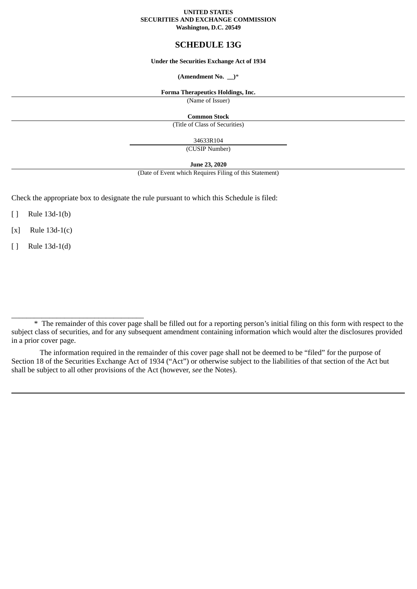#### **UNITED STATES SECURITIES AND EXCHANGE COMMISSION Washington, D.C. 20549**

# **SCHEDULE 13G**

# **Under the Securities Exchange Act of 1934**

### **(Amendment No. \_\_)**\*

#### **Forma Therapeutics Holdings, Inc.**

(Name of Issuer)

#### **Common Stock**

(Title of Class of Securities)

34633R104

(CUSIP Number)

### **June 23, 2020**

(Date of Event which Requires Filing of this Statement)

Check the appropriate box to designate the rule pursuant to which this Schedule is filed:

[ ] Rule 13d-1(b)

[x] Rule 13d-1(c)

[ ] Rule 13d-1(d)

\_\_\_\_\_\_\_\_\_\_\_\_\_\_\_\_\_\_\_\_\_\_\_\_\_\_\_\_\_\_\_\_\_\_\_

<sup>\*</sup> The remainder of this cover page shall be filled out for a reporting person's initial filing on this form with respect to the subject class of securities, and for any subsequent amendment containing information which would alter the disclosures provided in a prior cover page.

The information required in the remainder of this cover page shall not be deemed to be "filed" for the purpose of Section 18 of the Securities Exchange Act of 1934 ("Act") or otherwise subject to the liabilities of that section of the Act but shall be subject to all other provisions of the Act (however, *see* the Notes).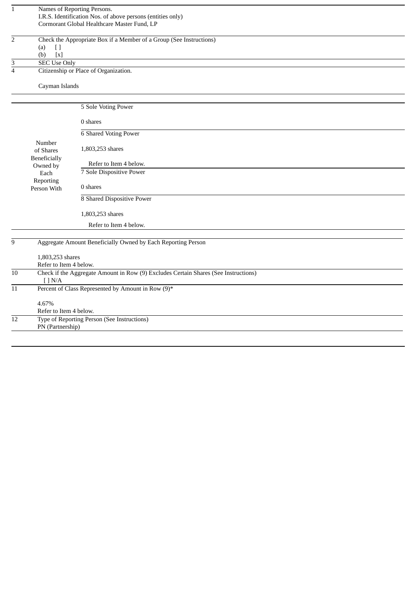| $\mathbf{1}$    |                                   | Names of Reporting Persons.                                                         |
|-----------------|-----------------------------------|-------------------------------------------------------------------------------------|
|                 |                                   | I.R.S. Identification Nos. of above persons (entities only)                         |
|                 |                                   | Cormorant Global Healthcare Master Fund, LP                                         |
| $\overline{2}$  |                                   | Check the Appropriate Box if a Member of a Group (See Instructions)                 |
|                 | (a)<br>$[ \ ]$                    |                                                                                     |
|                 | (b)<br>$\left[ \mathbf{x}\right]$ |                                                                                     |
| 3               | <b>SEC Use Only</b>               |                                                                                     |
| $\overline{4}$  |                                   | Citizenship or Place of Organization.                                               |
|                 | Cayman Islands                    |                                                                                     |
|                 |                                   | 5 Sole Voting Power                                                                 |
|                 |                                   |                                                                                     |
|                 |                                   | 0 shares                                                                            |
|                 |                                   | <b>6 Shared Voting Power</b>                                                        |
|                 | Number                            |                                                                                     |
|                 | of Shares                         | 1,803,253 shares                                                                    |
|                 | Beneficially<br>Owned by          | Refer to Item 4 below.                                                              |
|                 | Each                              | 7 Sole Dispositive Power                                                            |
|                 | Reporting                         |                                                                                     |
|                 | Person With                       | 0 shares                                                                            |
|                 |                                   | 8 Shared Dispositive Power                                                          |
|                 |                                   | 1,803,253 shares                                                                    |
|                 |                                   | Refer to Item 4 below.                                                              |
|                 |                                   |                                                                                     |
| 9               |                                   | Aggregate Amount Beneficially Owned by Each Reporting Person                        |
|                 | 1,803,253 shares                  |                                                                                     |
|                 | Refer to Item 4 below.            |                                                                                     |
| 10              |                                   | Check if the Aggregate Amount in Row (9) Excludes Certain Shares (See Instructions) |
|                 | [ ] N/A                           |                                                                                     |
| $\overline{11}$ |                                   | Percent of Class Represented by Amount in Row (9)*                                  |
|                 | 4.67%                             |                                                                                     |
|                 | Refer to Item 4 below.            |                                                                                     |
| 12              |                                   | <b>Type of Reporting Person (See Instructions)</b>                                  |
|                 | PN (Partnership)                  |                                                                                     |
|                 |                                   |                                                                                     |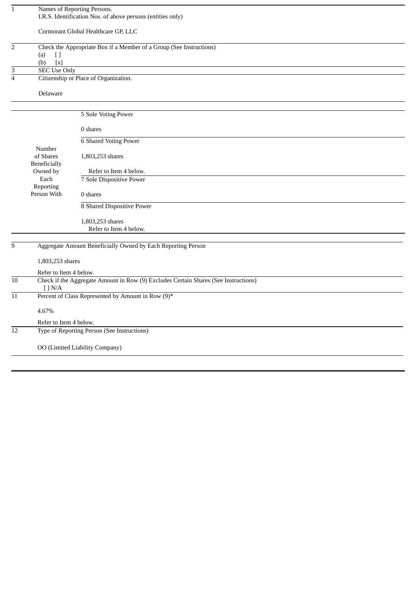| $\mathbf{1}$   |                                                    | Names of Reporting Persons.                                                         |
|----------------|----------------------------------------------------|-------------------------------------------------------------------------------------|
|                |                                                    | I.R.S. Identification Nos. of above persons (entities only)                         |
|                |                                                    |                                                                                     |
|                |                                                    | Cormorant Global Healthcare GP, LLC                                                 |
|                |                                                    |                                                                                     |
| $\overline{2}$ |                                                    | Check the Appropriate Box if a Member of a Group (See Instructions)                 |
|                | $[ \ ]$<br>(a)<br>$\left[ \text{x} \right]$<br>(b) |                                                                                     |
| 3              | <b>SEC Use Only</b>                                |                                                                                     |
| $\overline{4}$ |                                                    | Citizenship or Place of Organization.                                               |
|                |                                                    |                                                                                     |
|                | Delaware                                           |                                                                                     |
|                |                                                    |                                                                                     |
|                |                                                    |                                                                                     |
|                |                                                    | 5 Sole Voting Power                                                                 |
|                |                                                    | 0 shares                                                                            |
|                |                                                    |                                                                                     |
|                |                                                    | <b>6 Shared Voting Power</b>                                                        |
|                | Number                                             |                                                                                     |
|                | of Shares                                          | 1,803,253 shares                                                                    |
|                | Beneficially<br>Owned by                           | Refer to Item 4 below.                                                              |
|                | Each                                               | 7 Sole Dispositive Power                                                            |
|                | Reporting                                          |                                                                                     |
|                | Person With                                        | 0 shares                                                                            |
|                |                                                    | 8 Shared Dispositive Power                                                          |
|                |                                                    |                                                                                     |
|                |                                                    | 1,803,253 shares                                                                    |
|                |                                                    | Refer to Item 4 below.                                                              |
|                |                                                    |                                                                                     |
| $\overline{9}$ |                                                    | Aggregate Amount Beneficially Owned by Each Reporting Person                        |
|                |                                                    |                                                                                     |
|                | 1,803,253 shares                                   |                                                                                     |
|                | Refer to Item 4 below.                             |                                                                                     |
| 10             |                                                    | Check if the Aggregate Amount in Row (9) Excludes Certain Shares (See Instructions) |
|                | $[$ $]$ N/A                                        |                                                                                     |
| 11             |                                                    | Percent of Class Represented by Amount in Row (9)*                                  |
|                | 4.67%                                              |                                                                                     |
|                | Refer to Item 4 below.                             |                                                                                     |
| 12             |                                                    | Type of Reporting Person (See Instructions)                                         |
|                |                                                    |                                                                                     |
|                |                                                    | OO (Limited Liability Company)                                                      |
|                |                                                    |                                                                                     |
|                |                                                    |                                                                                     |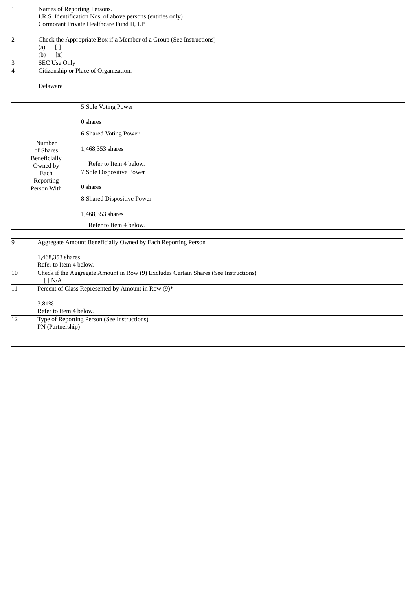| $\mathbf{1}$    |                        | Names of Reporting Persons.                                                         |
|-----------------|------------------------|-------------------------------------------------------------------------------------|
|                 |                        | I.R.S. Identification Nos. of above persons (entities only)                         |
|                 |                        | Cormorant Private Healthcare Fund II, LP                                            |
|                 |                        |                                                                                     |
| $\overline{2}$  |                        | Check the Appropriate Box if a Member of a Group (See Instructions)                 |
|                 | (a)<br>$[ \ ]$         |                                                                                     |
|                 | [x]<br>(b)             |                                                                                     |
| $\overline{3}$  | <b>SEC Use Only</b>    |                                                                                     |
| $\overline{4}$  |                        | Citizenship or Place of Organization.                                               |
|                 | Delaware               |                                                                                     |
|                 |                        |                                                                                     |
|                 |                        |                                                                                     |
|                 |                        | 5 Sole Voting Power                                                                 |
|                 |                        | 0 shares                                                                            |
|                 |                        | <b>6 Shared Voting Power</b>                                                        |
|                 | Number                 |                                                                                     |
|                 | of Shares              | 1,468,353 shares                                                                    |
|                 | Beneficially           |                                                                                     |
|                 | Owned by               | Refer to Item 4 below.                                                              |
|                 | Each                   | 7 Sole Dispositive Power                                                            |
|                 | Reporting              |                                                                                     |
|                 | Person With            | 0 shares                                                                            |
|                 |                        | 8 Shared Dispositive Power                                                          |
|                 |                        |                                                                                     |
|                 |                        | 1,468,353 shares                                                                    |
|                 |                        | Refer to Item 4 below.                                                              |
|                 |                        |                                                                                     |
| 9               |                        | Aggregate Amount Beneficially Owned by Each Reporting Person                        |
|                 |                        |                                                                                     |
|                 | 1,468,353 shares       |                                                                                     |
|                 | Refer to Item 4 below. |                                                                                     |
| 10              | [ ] N/A                | Check if the Aggregate Amount in Row (9) Excludes Certain Shares (See Instructions) |
| $\overline{11}$ |                        | Percent of Class Represented by Amount in Row (9)*                                  |
|                 | 3.81%                  |                                                                                     |
|                 | Refer to Item 4 below. |                                                                                     |
| 12              |                        | Type of Reporting Person (See Instructions)                                         |
|                 | PN (Partnership)       |                                                                                     |
|                 |                        |                                                                                     |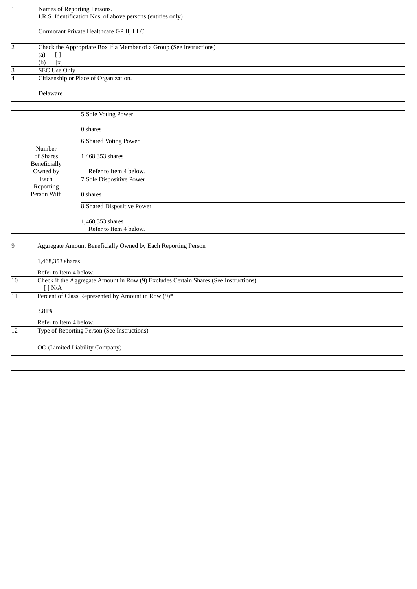| $\mathbf{1}$    |                                              | Names of Reporting Persons.<br>I.R.S. Identification Nos. of above persons (entities only) |
|-----------------|----------------------------------------------|--------------------------------------------------------------------------------------------|
|                 |                                              | Cormorant Private Healthcare GP II, LLC                                                    |
| $\overline{2}$  |                                              | Check the Appropriate Box if a Member of a Group (See Instructions)                        |
|                 | (a)<br>U<br>$\left[ \text{x} \right]$<br>(b) |                                                                                            |
| 3               | <b>SEC Use Only</b>                          |                                                                                            |
| $\overline{4}$  |                                              | Citizenship or Place of Organization.                                                      |
|                 | Delaware                                     |                                                                                            |
|                 |                                              |                                                                                            |
|                 |                                              | 5 Sole Voting Power                                                                        |
|                 |                                              | 0 shares                                                                                   |
|                 |                                              | <b>6 Shared Voting Power</b>                                                               |
|                 | Number                                       |                                                                                            |
|                 | of Shares<br>Beneficially                    | 1,468,353 shares                                                                           |
|                 | Owned by                                     | Refer to Item 4 below.                                                                     |
|                 | Each                                         | 7 Sole Dispositive Power                                                                   |
|                 | Reporting                                    |                                                                                            |
|                 | Person With                                  | 0 shares                                                                                   |
|                 |                                              | 8 Shared Dispositive Power                                                                 |
|                 |                                              | 1,468,353 shares                                                                           |
|                 |                                              | Refer to Item 4 below.                                                                     |
|                 |                                              |                                                                                            |
| 9               |                                              | Aggregate Amount Beneficially Owned by Each Reporting Person                               |
|                 | 1,468,353 shares                             |                                                                                            |
|                 | Refer to Item 4 below.                       |                                                                                            |
| $\overline{10}$ | $\lceil$ $N/A$                               | Check if the Aggregate Amount in Row (9) Excludes Certain Shares (See Instructions)        |
| 11              |                                              | Percent of Class Represented by Amount in Row (9)*                                         |
|                 | 3.81%                                        |                                                                                            |
|                 | Refer to Item 4 below.                       |                                                                                            |
| 12              |                                              | Type of Reporting Person (See Instructions)                                                |
|                 |                                              | OO (Limited Liability Company)                                                             |
|                 |                                              |                                                                                            |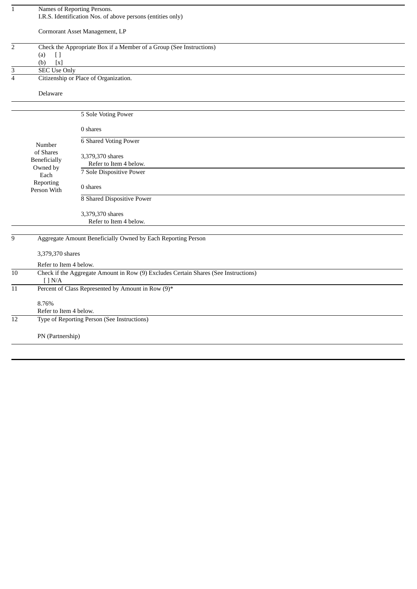| $\mathbf{1}$    |                        | Names of Reporting Persons.                                                         |  |
|-----------------|------------------------|-------------------------------------------------------------------------------------|--|
|                 |                        | I.R.S. Identification Nos. of above persons (entities only)                         |  |
|                 |                        |                                                                                     |  |
|                 |                        | Cormorant Asset Management, LP                                                      |  |
|                 |                        |                                                                                     |  |
| $\overline{2}$  |                        | Check the Appropriate Box if a Member of a Group (See Instructions)                 |  |
|                 | (a)<br>$[ \ ]$         |                                                                                     |  |
|                 | [x]<br>(b)             |                                                                                     |  |
| 3               | <b>SEC Use Only</b>    |                                                                                     |  |
| $\overline{4}$  |                        | Citizenship or Place of Organization.                                               |  |
|                 |                        |                                                                                     |  |
|                 | Delaware               |                                                                                     |  |
|                 |                        |                                                                                     |  |
|                 |                        |                                                                                     |  |
|                 |                        | 5 Sole Voting Power                                                                 |  |
|                 |                        |                                                                                     |  |
|                 |                        | 0 shares                                                                            |  |
|                 |                        | 6 Shared Voting Power                                                               |  |
|                 | Number                 |                                                                                     |  |
|                 | of Shares              | 3,379,370 shares                                                                    |  |
|                 | Beneficially           |                                                                                     |  |
|                 | Owned by               | Refer to Item 4 below.                                                              |  |
|                 | Each                   | 7 Sole Dispositive Power                                                            |  |
|                 | Reporting              |                                                                                     |  |
|                 | Person With            | 0 shares                                                                            |  |
|                 |                        | 8 Shared Dispositive Power                                                          |  |
|                 |                        |                                                                                     |  |
|                 |                        | 3,379,370 shares                                                                    |  |
|                 |                        | Refer to Item 4 below.                                                              |  |
|                 |                        |                                                                                     |  |
| 9               |                        | Aggregate Amount Beneficially Owned by Each Reporting Person                        |  |
|                 |                        |                                                                                     |  |
|                 | 3,379,370 shares       |                                                                                     |  |
|                 |                        |                                                                                     |  |
|                 | Refer to Item 4 below. |                                                                                     |  |
| $10\,$          |                        | Check if the Aggregate Amount in Row (9) Excludes Certain Shares (See Instructions) |  |
|                 | [ ] N/A                |                                                                                     |  |
| $\overline{11}$ |                        | Percent of Class Represented by Amount in Row (9)*                                  |  |
|                 |                        |                                                                                     |  |
|                 | 8.76%                  |                                                                                     |  |
|                 | Refer to Item 4 below. |                                                                                     |  |
| $\overline{12}$ |                        | Type of Reporting Person (See Instructions)                                         |  |
|                 |                        |                                                                                     |  |
|                 | PN (Partnership)       |                                                                                     |  |
|                 |                        |                                                                                     |  |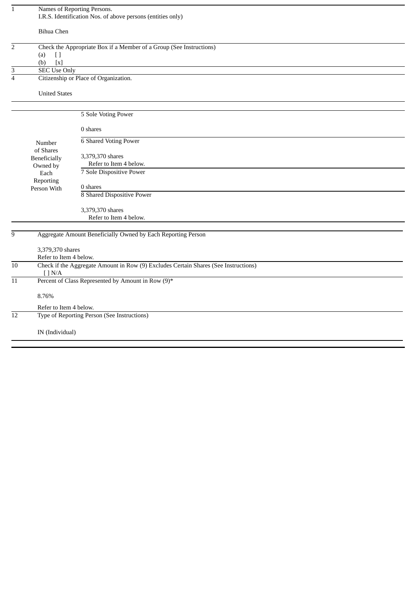| $\overline{1}$                                          | Names of Reporting Persons.<br>I.R.S. Identification Nos. of above persons (entities only) |                                                                                     |  |
|---------------------------------------------------------|--------------------------------------------------------------------------------------------|-------------------------------------------------------------------------------------|--|
|                                                         | <b>Bihua Chen</b>                                                                          |                                                                                     |  |
| $\overline{2}$                                          |                                                                                            | Check the Appropriate Box if a Member of a Group (See Instructions)                 |  |
|                                                         | (a)<br>$[ \ ]$                                                                             |                                                                                     |  |
|                                                         | $\left[ x\right]$<br>(b)                                                                   |                                                                                     |  |
| 3                                                       | <b>SEC Use Only</b>                                                                        |                                                                                     |  |
| $\overline{4}$<br>Citizenship or Place of Organization. |                                                                                            |                                                                                     |  |
|                                                         | <b>United States</b>                                                                       |                                                                                     |  |
|                                                         |                                                                                            | 5 Sole Voting Power                                                                 |  |
|                                                         |                                                                                            |                                                                                     |  |
|                                                         |                                                                                            | 0 shares                                                                            |  |
|                                                         | Number                                                                                     | <b>6 Shared Voting Power</b>                                                        |  |
|                                                         | of Shares                                                                                  |                                                                                     |  |
|                                                         | Beneficially                                                                               | 3,379,370 shares                                                                    |  |
|                                                         | Owned by                                                                                   | Refer to Item 4 below.                                                              |  |
|                                                         | Each                                                                                       | 7 Sole Dispositive Power                                                            |  |
|                                                         | Reporting                                                                                  |                                                                                     |  |
|                                                         | Person With                                                                                | 0 shares                                                                            |  |
|                                                         |                                                                                            | 8 Shared Dispositive Power                                                          |  |
|                                                         |                                                                                            | 3,379,370 shares                                                                    |  |
|                                                         |                                                                                            | Refer to Item 4 below.                                                              |  |
|                                                         |                                                                                            |                                                                                     |  |
| 9                                                       | Aggregate Amount Beneficially Owned by Each Reporting Person                               |                                                                                     |  |
| 3,379,370 shares                                        |                                                                                            |                                                                                     |  |
|                                                         | Refer to Item 4 below.                                                                     |                                                                                     |  |
| $10\,$                                                  | $[$ ] $\rm N/A$                                                                            | Check if the Aggregate Amount in Row (9) Excludes Certain Shares (See Instructions) |  |
| $\overline{11}$                                         |                                                                                            | Percent of Class Represented by Amount in Row (9)*                                  |  |
|                                                         | 8.76%                                                                                      |                                                                                     |  |
|                                                         | Refer to Item 4 below.                                                                     |                                                                                     |  |
| 12                                                      |                                                                                            | Type of Reporting Person (See Instructions)                                         |  |
|                                                         | IN (Individual)                                                                            |                                                                                     |  |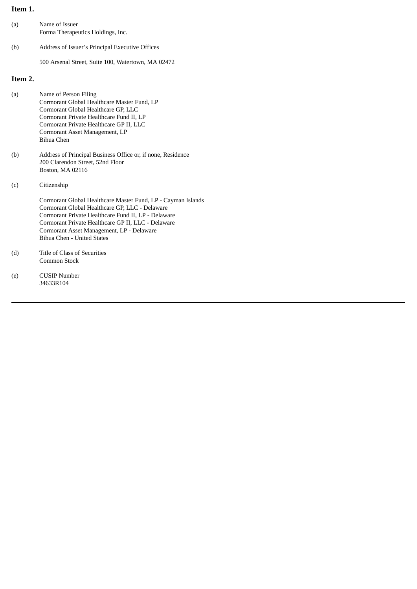# **Item 1.**

| (a)     | Name of Issuer<br>Forma Therapeutics Holdings, Inc. |
|---------|-----------------------------------------------------|
| (b)     | Address of Issuer's Principal Executive Offices     |
|         | 500 Arsenal Street, Suite 100, Watertown, MA 02472  |
| Item 2. |                                                     |

| (a) | Name of Person Filing                                       |
|-----|-------------------------------------------------------------|
|     | Cormorant Global Healthcare Master Fund, LP                 |
|     | Cormorant Global Healthcare GP, LLC                         |
|     | Cormorant Private Healthcare Fund II, LP                    |
|     | Cormorant Private Healthcare GP II, LLC                     |
|     | Cormorant Asset Management, LP                              |
|     | Bihua Chen                                                  |
| (b) | Address of Principal Business Office or, if none, Residence |
|     | 200 Clarendon Street, 52nd Floor                            |
|     | Boston, MA 02116                                            |

(c) Citizenship

Cormorant Global Healthcare Master Fund, LP - Cayman Islands Cormorant Global Healthcare GP, LLC - Delaware Cormorant Private Healthcare Fund II, LP - Delaware Cormorant Private Healthcare GP II, LLC - Delaware Cormorant Asset Management, LP - Delaware Bihua Chen - United States

- (d) Title of Class of Securities Common Stock
- (e) CUSIP Number 34633R104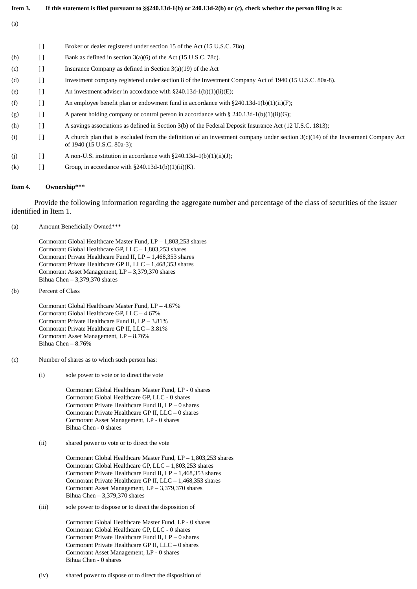| Item 3. | If this statement is filed pursuant to $\S$ §240.13d-1(b) or 240.13d-2(b) or (c), check whether the person filing is a: |                                                                                                                                                                |
|---------|-------------------------------------------------------------------------------------------------------------------------|----------------------------------------------------------------------------------------------------------------------------------------------------------------|
| (a)     |                                                                                                                         |                                                                                                                                                                |
|         | Ħ                                                                                                                       | Broker or dealer registered under section 15 of the Act (15 U.S.C. 780).                                                                                       |
| (b)     | Ħ                                                                                                                       | Bank as defined in section 3(a)(6) of the Act (15 U.S.C. 78c).                                                                                                 |
| (c)     | $[ \ ]$                                                                                                                 | Insurance Company as defined in Section $3(a)(19)$ of the Act                                                                                                  |
| (d)     | $\left[ \ \right]$                                                                                                      | Investment company registered under section 8 of the Investment Company Act of 1940 (15 U.S.C. 80a-8).                                                         |
| (e)     | $\Box$                                                                                                                  | An investment adviser in accordance with $\S240.13d-1(b)(1)(ii)(E)$ ;                                                                                          |
| (f)     | $\Box$                                                                                                                  | An employee benefit plan or endowment fund in accordance with $\S 240.13d-1(b)(1)(ii)(F)$ ;                                                                    |
| (g)     | $\Box$                                                                                                                  | A parent holding company or control person in accordance with § 240.13d-1(b)(1)(ii)(G);                                                                        |
| (h)     | $[ \ ]$                                                                                                                 | A savings associations as defined in Section 3(b) of the Federal Deposit Insurance Act (12 U.S.C. 1813);                                                       |
| (i)     | Ħ                                                                                                                       | A church plan that is excluded from the definition of an investment company under section 3(c)(14) of the Investment Company Act<br>of 1940 (15 U.S.C. 80a-3); |
| (i)     | П                                                                                                                       | A non-U.S. institution in accordance with $\S 240.13d-1(b)(1)(ii)(J);$                                                                                         |

(k)  $[$   $]$  Group, in accordance with §240.13d-1(b)(1)(ii)(K).

#### **Item 4. Ownership\*\*\***

Provide the following information regarding the aggregate number and percentage of the class of securities of the issuer identified in Item 1.

(a) Amount Beneficially Owned\*\*\*

Cormorant Global Healthcare Master Fund, LP – 1,803,253 shares Cormorant Global Healthcare GP, LLC – 1,803,253 shares Cormorant Private Healthcare Fund II, LP – 1,468,353 shares Cormorant Private Healthcare GP II, LLC – 1,468,353 shares Cormorant Asset Management, LP – 3,379,370 shares Bihua Chen – 3,379,370 shares

(b) Percent of Class

Cormorant Global Healthcare Master Fund, LP – 4.67% Cormorant Global Healthcare GP, LLC – 4.67% Cormorant Private Healthcare Fund II, LP – 3.81% Cormorant Private Healthcare GP II, LLC – 3.81% Cormorant Asset Management, LP – 8.76% Bihua Chen – 8.76%

- (c) Number of shares as to which such person has:
	- (i) sole power to vote or to direct the vote

Cormorant Global Healthcare Master Fund, LP - 0 shares Cormorant Global Healthcare GP, LLC - 0 shares Cormorant Private Healthcare Fund II, LP – 0 shares Cormorant Private Healthcare GP II, LLC – 0 shares Cormorant Asset Management, LP - 0 shares Bihua Chen - 0 shares

(ii) shared power to vote or to direct the vote

Cormorant Global Healthcare Master Fund, LP – 1,803,253 shares Cormorant Global Healthcare GP, LLC – 1,803,253 shares Cormorant Private Healthcare Fund II, LP – 1,468,353 shares Cormorant Private Healthcare GP II, LLC – 1,468,353 shares Cormorant Asset Management, LP – 3,379,370 shares Bihua Chen – 3,379,370 shares

(iii) sole power to dispose or to direct the disposition of

Cormorant Global Healthcare Master Fund, LP - 0 shares Cormorant Global Healthcare GP, LLC - 0 shares Cormorant Private Healthcare Fund II, LP – 0 shares Cormorant Private Healthcare GP II, LLC – 0 shares Cormorant Asset Management, LP - 0 shares Bihua Chen - 0 shares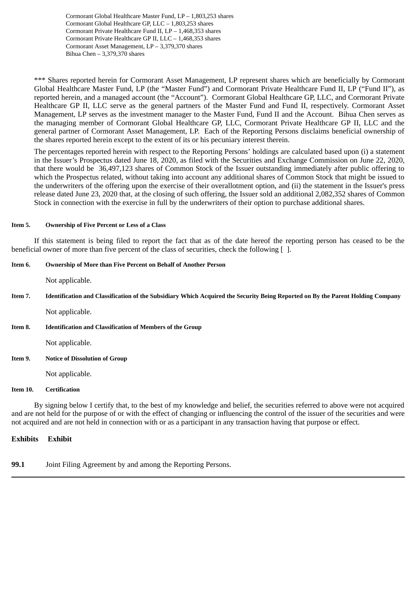Cormorant Global Healthcare Master Fund, LP – 1,803,253 shares Cormorant Global Healthcare GP, LLC – 1,803,253 shares Cormorant Private Healthcare Fund II, LP – 1,468,353 shares Cormorant Private Healthcare GP II, LLC – 1,468,353 shares Cormorant Asset Management, LP – 3,379,370 shares Bihua Chen – 3,379,370 shares

\*\*\* Shares reported herein for Cormorant Asset Management, LP represent shares which are beneficially by Cormorant Global Healthcare Master Fund, LP (the "Master Fund") and Cormorant Private Healthcare Fund II, LP ("Fund II"), as reported herein, and a managed account (the "Account"). Cormorant Global Healthcare GP, LLC, and Cormorant Private Healthcare GP II, LLC serve as the general partners of the Master Fund and Fund II, respectively. Cormorant Asset Management, LP serves as the investment manager to the Master Fund, Fund II and the Account. Bihua Chen serves as the managing member of Cormorant Global Healthcare GP, LLC, Cormorant Private Healthcare GP II, LLC and the general partner of Cormorant Asset Management, LP. Each of the Reporting Persons disclaims beneficial ownership of the shares reported herein except to the extent of its or his pecuniary interest therein.

The percentages reported herein with respect to the Reporting Persons' holdings are calculated based upon (i) a statement in the Issuer's Prospectus dated June 18, 2020, as filed with the Securities and Exchange Commission on June 22, 2020, that there would be 36,497,123 shares of Common Stock of the Issuer outstanding immediately after public offering to which the Prospectus related, without taking into account any additional shares of Common Stock that might be issued to the underwriters of the offering upon the exercise of their overallotment option, and (ii) the statement in the Issuer's press release dated June 23, 2020 that, at the closing of such offering, the Issuer sold an additional 2,082,352 shares of Common Stock in connection with the exercise in full by the underwriters of their option to purchase additional shares.

### **Item 5. Ownership of Five Percent or Less of a Class**

If this statement is being filed to report the fact that as of the date hereof the reporting person has ceased to be the beneficial owner of more than five percent of the class of securities, check the following  $\lceil \cdot \rceil$ .

#### **Item 6. Ownership of More than Five Percent on Behalf of Another Person**

Not applicable.

Item 7. Identification and Classification of the Subsidiary Which Acquired the Security Being Reported on By the Parent Holding Company

Not applicable.

**Item 8. Identification and Classification of Members of the Group**

Not applicable.

**Item 9. Notice of Dissolution of Group**

Not applicable.

#### **Item 10. Certification**

By signing below I certify that, to the best of my knowledge and belief, the securities referred to above were not acquired and are not held for the purpose of or with the effect of changing or influencing the control of the issuer of the securities and were not acquired and are not held in connection with or as a participant in any transaction having that purpose or effect.

# **Exhibits Exhibit**

**99.1** Joint Filing Agreement by and among the Reporting Persons.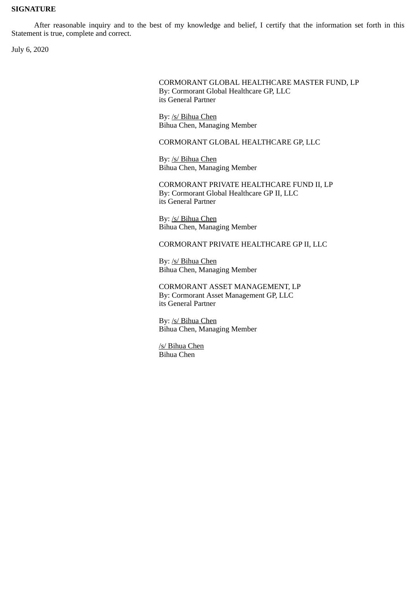# **SIGNATURE**

After reasonable inquiry and to the best of my knowledge and belief, I certify that the information set forth in this Statement is true, complete and correct.

July 6, 2020

CORMORANT GLOBAL HEALTHCARE MASTER FUND, LP By: Cormorant Global Healthcare GP, LLC its General Partner

By: /s/ Bihua Chen Bihua Chen, Managing Member

CORMORANT GLOBAL HEALTHCARE GP, LLC

By: /s/ Bihua Chen Bihua Chen, Managing Member

CORMORANT PRIVATE HEALTHCARE FUND II, LP By: Cormorant Global Healthcare GP II, LLC its General Partner

By: /s/ Bihua Chen Bihua Chen, Managing Member

CORMORANT PRIVATE HEALTHCARE GP II, LLC

By: /s/ Bihua Chen Bihua Chen, Managing Member

CORMORANT ASSET MANAGEMENT, LP By: Cormorant Asset Management GP, LLC its General Partner

By: /s/ Bihua Chen Bihua Chen, Managing Member

/s/ Bihua Chen Bihua Chen